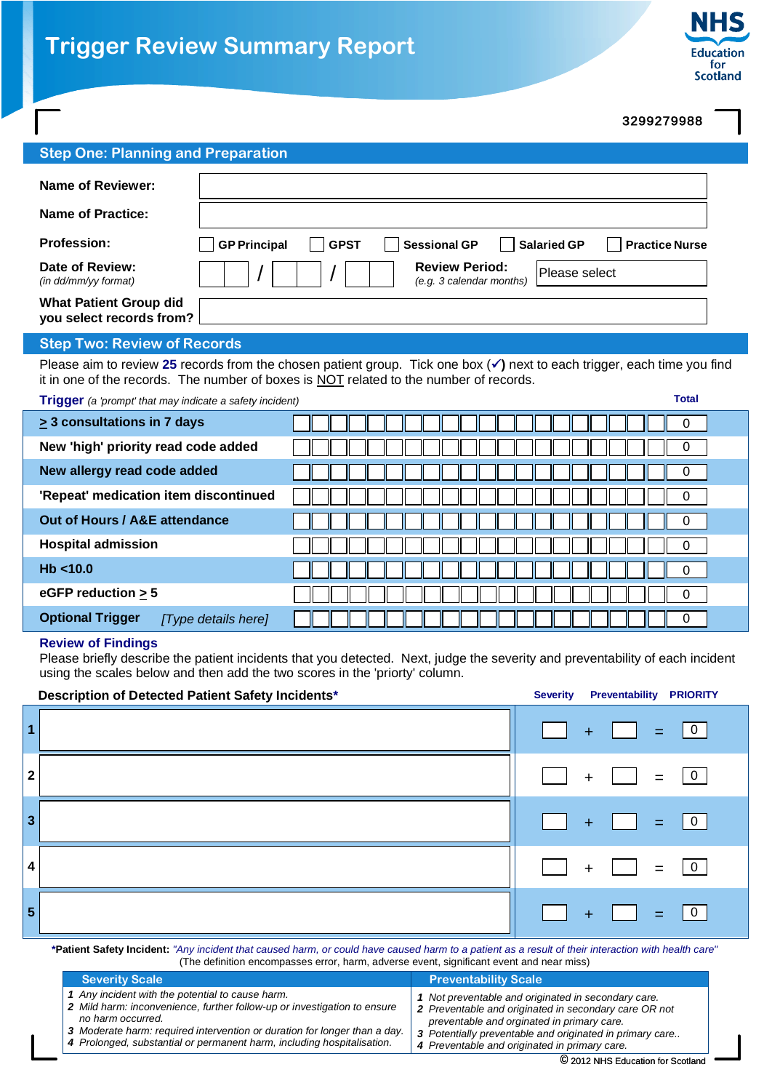France...<br>for<br>Scotland

## 3299279988

| <b>Step One: Planning and Preparation</b>                 |                                                                                                                   |  |  |  |
|-----------------------------------------------------------|-------------------------------------------------------------------------------------------------------------------|--|--|--|
| Name of Reviewer:                                         |                                                                                                                   |  |  |  |
| <b>Name of Practice:</b>                                  |                                                                                                                   |  |  |  |
| <b>Profession:</b>                                        | <b>Sessional GP</b><br><b>GP Principal</b><br><b>Salaried GP</b><br><b>Practice Nurse</b><br><b>GPST</b><br>r a l |  |  |  |
| Date of Review:<br>(in dd/mm/vy format)                   | <b>Review Period:</b><br>Please select<br>(e.g. 3 calendar months)                                                |  |  |  |
| <b>What Patient Group did</b><br>you select records from? |                                                                                                                   |  |  |  |
| <b>Step Two: Review of Records</b>                        |                                                                                                                   |  |  |  |

Please aim to review 25 records from the chosen patient group. Tick one box ( $\checkmark$ ) next to each trigger, each time you find it in one of the records. The number of boxes is NOT related to the number of records.

**Trigger** *(a 'prompt' that may indicate a safety incident)* **Total**

| $\geq$ 3 consultations in 7 days               |   |
|------------------------------------------------|---|
| New 'high' priority read code added            |   |
| New allergy read code added                    |   |
| 'Repeat' medication item discontinued          | 0 |
| Out of Hours / A&E attendance                  |   |
| <b>Hospital admission</b>                      | 0 |
| Hb < 10.0                                      |   |
| eGFP reduction $\geq 5$                        | 0 |
| <b>Optional Trigger</b><br>[Type details here] | 0 |

## **Review of Findings**

Please briefly describe the patient incidents that you detected. Next, judge the severity and preventability of each incident using the scales below and then add the two scores in the 'priorty' column.

| Description of Detected Patient Safety Incidents* | <b>Severity</b><br><b>Preventability PRIORITY</b> |
|---------------------------------------------------|---------------------------------------------------|
| $\overline{1}$                                    | 0 <br>$\equiv$<br>Ð                               |
| $\mathbf{2}$                                      | $=$<br>$\ddot{}$                                  |
| $\vert$ 3                                         | 0 <br><b>TEX</b><br>$+$<br><b>The Contract</b>    |
| 4                                                 | $=$<br>$\ddot{}$                                  |
| 5                                                 | 0 <br>$\blacktriangleright$<br>$\ddot{}$          |

**\*Patient Safety Incident:** *"Any incident that caused harm, or could have caused harm to a patient as a result of their interaction with health care"* (The definition encompasses error, harm, adverse event, significant event and near miss)

| <b>Severity Scale</b>                                                     | <b>Preventability Scale</b>                              |  |  |  |  |
|---------------------------------------------------------------------------|----------------------------------------------------------|--|--|--|--|
| 1 Any incident with the potential to cause harm.                          | 1 Not preventable and originated in secondary care.      |  |  |  |  |
| 2 Mild harm: inconvenience, further follow-up or investigation to ensure  | 2 Preventable and originated in secondary care OR not    |  |  |  |  |
| no harm occurred.                                                         | preventable and orginated in primary care.               |  |  |  |  |
| 3 Moderate harm: required intervention or duration for longer than a day. | 3 Potentially preventable and originated in primary care |  |  |  |  |
| 4 Prolonged, substantial or permanent harm, including hospitalisation.    | 4 Preventable and originated in primary care.            |  |  |  |  |

© 2012 NHS Education for Scotland